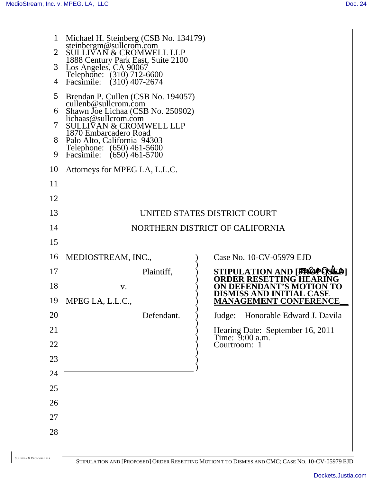| 1<br>$\overline{2}$<br>3<br>4 | Michael H. Steinberg (CSB No. 134179)<br>steinbergm@sullcrom.com<br><b>SULLIVAN &amp; CROMWELL LLP</b><br>1888 Century Park East, Suite 2100<br>Los Angeles, CA 90067<br>Telephone: (310) 712-6600<br>Facsimile: (310) 407-2674 |                                                     |
|-------------------------------|---------------------------------------------------------------------------------------------------------------------------------------------------------------------------------------------------------------------------------|-----------------------------------------------------|
| 5                             | Brendan P. Cullen (CSB No. 194057)<br>cullenb@sullcrom.com                                                                                                                                                                      |                                                     |
| 6                             | Shawn Joe Lichaa (CSB No. 250902)<br>lichaas@sullcrom.com                                                                                                                                                                       |                                                     |
| 7                             | <b>SULLIVAN &amp; CROMWELL LLP</b><br>1870 Embarcadero Road                                                                                                                                                                     |                                                     |
| 8<br>9                        | Palo Alto, California 94303<br>Telephone: (650) 461-5600<br>$(650)$ 461-5700<br>Facsimile:                                                                                                                                      |                                                     |
| 10                            | Attorneys for MPEG LA, L.L.C.                                                                                                                                                                                                   |                                                     |
| 11                            |                                                                                                                                                                                                                                 |                                                     |
| 12                            |                                                                                                                                                                                                                                 |                                                     |
| 13                            |                                                                                                                                                                                                                                 | UNITED STATES DISTRICT COURT                        |
| 14                            |                                                                                                                                                                                                                                 | NORTHERN DISTRICT OF CALIFORNIA                     |
| 15                            |                                                                                                                                                                                                                                 |                                                     |
| 16                            | MEDIOSTREAM, INC.,                                                                                                                                                                                                              | Case No. 10-CV-05979 EJD                            |
| 17                            | Plaintiff,                                                                                                                                                                                                                      | STIPULATION AND [FROPOSED]<br>ORDER RESETTING HEA   |
| 18                            | V.                                                                                                                                                                                                                              | ANT'S MO<br>DEFEND<br>ro<br>DISMISS AND INITIAL CA  |
| 19                            | MPEG LA, L.L.C.,                                                                                                                                                                                                                | <b>MANAGEMENT CONFERENCE</b>                        |
| 20                            | Defendant.                                                                                                                                                                                                                      | Honorable Edward J. Davila<br>Judge:                |
| 21                            |                                                                                                                                                                                                                                 | Hearing Date: September 16, 2011<br>Time: 9:00 a.m. |
| 22                            |                                                                                                                                                                                                                                 | Courtroom: 1                                        |
| 23                            |                                                                                                                                                                                                                                 |                                                     |
| 24                            |                                                                                                                                                                                                                                 |                                                     |
| 25                            |                                                                                                                                                                                                                                 |                                                     |
| 26                            |                                                                                                                                                                                                                                 |                                                     |
| 27                            |                                                                                                                                                                                                                                 |                                                     |
| 28                            |                                                                                                                                                                                                                                 |                                                     |
|                               |                                                                                                                                                                                                                                 |                                                     |

SULLIVAN & CROMWELL LLP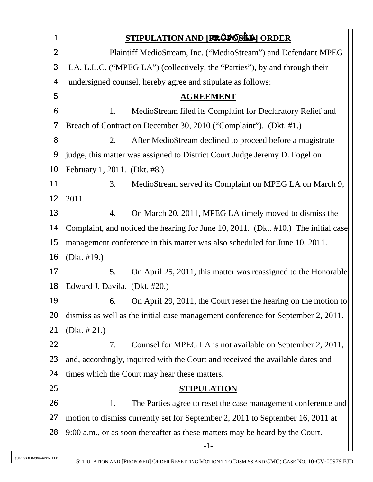|                          | STIPULATION AND [FROPOSILE] ORDER                                                  |  |  |
|--------------------------|------------------------------------------------------------------------------------|--|--|
| $\overline{2}$           | Plaintiff MedioStream, Inc. ("MedioStream") and Defendant MPEG                     |  |  |
| 3                        | LA, L.L.C. ("MPEG LA") (collectively, the "Parties"), by and through their         |  |  |
| $\overline{\mathcal{A}}$ | undersigned counsel, hereby agree and stipulate as follows:                        |  |  |
| 5                        | <b>AGREEMENT</b>                                                                   |  |  |
| 6                        | MedioStream filed its Complaint for Declaratory Relief and<br>1.                   |  |  |
| 7                        | Breach of Contract on December 30, 2010 ("Complaint"). (Dkt. #1.)                  |  |  |
| 8                        | After MedioStream declined to proceed before a magistrate<br>2.                    |  |  |
| 9                        | judge, this matter was assigned to District Court Judge Jeremy D. Fogel on         |  |  |
| 10                       | February 1, 2011. (Dkt. #8.)                                                       |  |  |
| 11                       | 3.<br>MedioStream served its Complaint on MPEG LA on March 9,                      |  |  |
| 12                       | 2011.                                                                              |  |  |
| 13                       | On March 20, 2011, MPEG LA timely moved to dismiss the<br>4.                       |  |  |
| 14                       | Complaint, and noticed the hearing for June 10, 2011. (Dkt. #10.) The initial case |  |  |
| 15                       | management conference in this matter was also scheduled for June 10, 2011.         |  |  |
| 16                       | (Dkt. #19.)                                                                        |  |  |
| 17                       | 5.<br>On April 25, 2011, this matter was reassigned to the Honorable               |  |  |
| 18                       | Edward J. Davila. (Dkt. #20.)                                                      |  |  |
| 19                       | 6. On April 29, 2011, the Court reset the hearing on the motion to                 |  |  |
| 20                       | dismiss as well as the initial case management conference for September 2, 2011.   |  |  |
| 21                       | (Dkt. $# 21$ .)                                                                    |  |  |
| <u>22</u>                | Counsel for MPEG LA is not available on September 2, 2011,<br>7.                   |  |  |
| 23                       | and, accordingly, inquired with the Court and received the available dates and     |  |  |
| 24                       | times which the Court may hear these matters.                                      |  |  |
| 25                       | <b>STIPULATION</b>                                                                 |  |  |
| 26                       | The Parties agree to reset the case management conference and<br>1.                |  |  |
| 27                       | motion to dismiss currently set for September 2, 2011 to September 16, 2011 at     |  |  |
| 28                       | 9:00 a.m., or as soon thereafter as these matters may be heard by the Court.       |  |  |
|                          | $-1-$                                                                              |  |  |